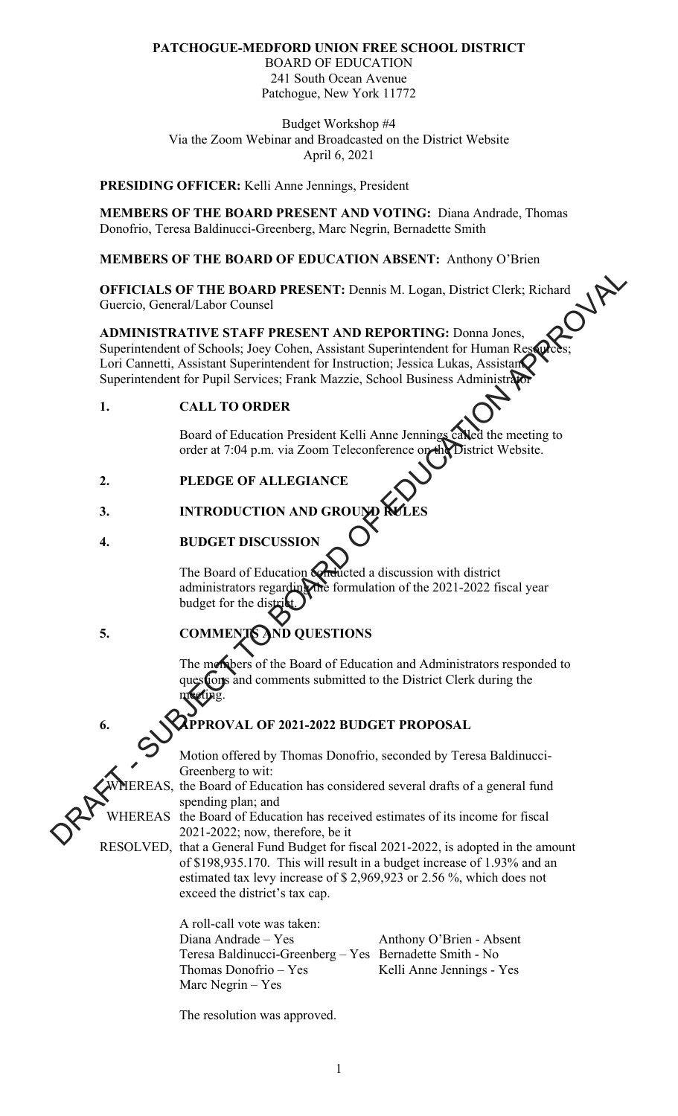## **PATCHOGUE-MEDFORD UNION FREE SCHOOL DISTRICT**

BOARD OF EDUCATION 241 South Ocean Avenue Patchogue, New York 11772

Budget Workshop #4 Via the Zoom Webinar and Broadcasted on the District Website April 6, 2021

#### **PRESIDING OFFICER:** Kelli Anne Jennings, President

**MEMBERS OF THE BOARD PRESENT AND VOTING:** Diana Andrade, Thomas Donofrio, Teresa Baldinucci-Greenberg, Marc Negrin, Bernadette Smith

**MEMBERS OF THE BOARD OF EDUCATION ABSENT:** Anthony O'Brien

**OFFICIALS OF THE BOARD PRESENT:** Dennis M. Logan, District Clerk; Richard Guercio, General/Labor Counsel

**ADMINISTRATIVE STAFF PRESENT AND REPORTING:** Donna Jones, Superintendent of Schools; Joey Cohen, Assistant Superintendent for Human Res Lori Cannetti, Assistant Superintendent for Instruction; Jessica Lukas, Assistant Superintendent for Pupil Services; Frank Mazzie, School Business Administration OFFICIALS OF THE BOARD PRESENT: Dennis M. Logan, District Clerk; Richard<br>
Concretio, General/Labor Counsel<br>
ADMINISTRATIVE STATE PRESENT AND REPORTING: Donna Jones,<br>
Superintendent of Schools, Josey Cobern, Assistant Super

**1. CALL TO ORDER** 

Board of Education President Kelli Anne Jennings called the meeting to order at 7:04 p.m. via Zoom Teleconference on the District Website.

## **2. PLEDGE OF ALLEGIANCE**

## **3. INTRODUCTION AN**

# **4. BUDGET DISCUSSIO**

The Board of Education **conducted** a discussion with district administrators regarding the formulation of the 2021-2022 fiscal year budget for the distri

**5. COMMENTS AND QUESTIONS** 

The members of the Board of Education and Administrators responded to **flons** and comments submitted to the District Clerk during the meeting.

## **6. WAPPROVAL OF 2021-2022 BUDGET PROPOSAL**

Motion offered by Thomas Donofrio, seconded by Teresa Baldinucci-Greenberg to wit:

REAS, the Board of Education has considered several drafts of a general fund spending plan; and

WHEREAS the Board of Education has received estimates of its income for fiscal 2021-2022; now, therefore, be it

RESOLVED, that a General Fund Budget for fiscal 2021-2022, is adopted in the amount of \$198,935.170. This will result in a budget increase of 1.93% and an estimated tax levy increase of \$ 2,969,923 or 2.56 %, which does not exceed the district's tax cap.

> A roll-call vote was taken: Diana Andrade – Yes Anthony O'Brien - Absent Teresa Baldinucci-Greenberg – Yes Bernadette Smith - No Thomas Donofrio – Yes Kelli Anne Jennings - Yes Marc Negrin – Yes

The resolution was approved.